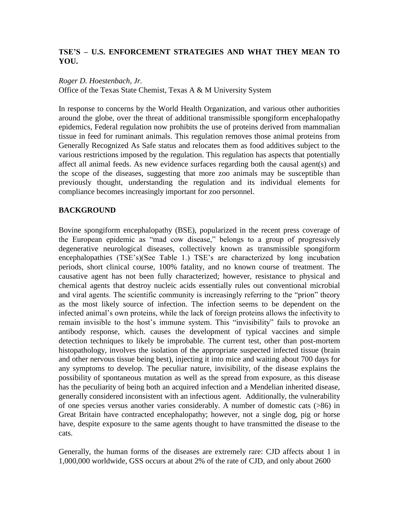# **TSE'S – U.S. ENFORCEMENT STRATEGIES AND WHAT THEY MEAN TO YOU.**

### *Roger D. Hoestenbach, Jr.*

Office of the Texas State Chemist, Texas A & M University System

In response to concerns by the World Health Organization, and various other authorities around the globe, over the threat of additional transmissible spongiform encephalopathy epidemics, Federal regulation now prohibits the use of proteins derived from mammalian tissue in feed for ruminant animals. This regulation removes those animal proteins from Generally Recognized As Safe status and relocates them as food additives subject to the various restrictions imposed by the regulation. This regulation has aspects that potentially affect all animal feeds. As new evidence surfaces regarding both the causal agent(s) and the scope of the diseases, suggesting that more zoo animals may be susceptible than previously thought, understanding the regulation and its individual elements for compliance becomes increasingly important for zoo personnel.

## **BACKGROUND**

Bovine spongiform encephalopathy (BSE), popularized in the recent press coverage of the European epidemic as "mad cow disease," belongs to a group of progressively degenerative neurological diseases, collectively known as transmissible spongiform encephalopathies (TSE's)(See Table 1.) TSE's are characterized by long incubation periods, short clinical course, 100% fatality, and no known course of treatment. The causative agent has not been fully characterized; however, resistance to physical and chemical agents that destroy nucleic acids essentially rules out conventional microbial and viral agents. The scientific community is increasingly referring to the "prion" theory as the most likely source of infection. The infection seems to be dependent on the infected animal's own proteins, while the lack of foreign proteins allows the infectivity to remain invisible to the host's immune system. This "invisibility" fails to provoke an antibody response, which. causes the development of typical vaccines and simple detection techniques to likely be improbable. The current test, other than post-mortem histopathology, involves the isolation of the appropriate suspected infected tissue (brain and other nervous tissue being best), injecting it into mice and waiting about 700 days for any symptoms to develop. The peculiar nature, invisibility, of the disease explains the possibility of spontaneous mutation as well as the spread from exposure, as this disease has the peculiarity of being both an acquired infection and a Mendelian inherited disease, generally considered inconsistent with an infectious agent. Additionally, the vulnerability of one species versus another varies considerably. A number of domestic cats (>86) in Great Britain have contracted encephalopathy; however, not a single dog, pig or horse have, despite exposure to the same agents thought to have transmitted the disease to the cats.

Generally, the human forms of the diseases are extremely rare: CJD affects about 1 in 1,000,000 worldwide, GSS occurs at about 2% of the rate of CJD, and only about 2600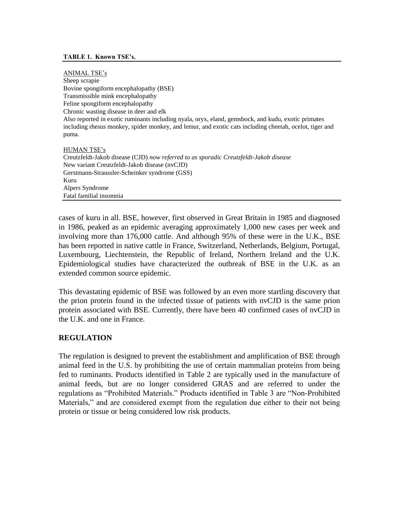#### **TABLE 1. Known TSE's.**

ANIMAL TSE's Sheep scrapie Bovine spongiform encephalopathy (BSE) Transmissible mink encephalopathy Feline spongiform encephalopathy Chronic wasting disease in deer and elk Also reported in exotic ruminants including nyala, oryx, eland, gemsbock, and kudu, exotic primates including rhesus monkey, spider monkey, and lemur, and exotic cats including cheetah, ocelot, tiger and puma.

HUMAN TSE's Creutzfeldt-Jakob disease (CJD) *now referred to as sporadic Creutzfeldt-Jakob disease* New variant Creutzfeldt-Jakob disease (nvCJD) Gerstmann-Straussler-Scheinker syndrome (GSS) Kuru Alpers Syndrome Fatal familial insomnia

cases of kuru in all. BSE, however, first observed in Great Britain in 1985 and diagnosed in 1986, peaked as an epidemic averaging approximately 1,000 new cases per week and involving more than 176,000 cattle. And although 95% of these were in the U.K., BSE has been reported in native cattle in France, Switzerland, Netherlands, Belgium, Portugal, Luxembourg, Liechtenstein, the Republic of Ireland, Northern Ireland and the U.K. Epidemiological studies have characterized the outbreak of BSE in the U.K. as an extended common source epidemic.

This devastating epidemic of BSE was followed by an even more startling discovery that the prion protein found in the infected tissue of patients with nvCJD is the same prion protein associated with BSE. Currently, there have been 40 confirmed cases of nvCJD in the U.K. and one in France.

### **REGULATION**

The regulation is designed to prevent the establishment and amplification of BSE through animal feed in the U.S. by prohibiting the use of certain mammalian proteins from being fed to ruminants. Products identified in Table 2 are typically used in the manufacture of animal feeds, but are no longer considered GRAS and are referred to under the regulations as "Prohibited Materials." Products identified in Table 3 are "Non-Prohibited Materials," and are considered exempt from the regulation due either to their not being protein or tissue or being considered low risk products.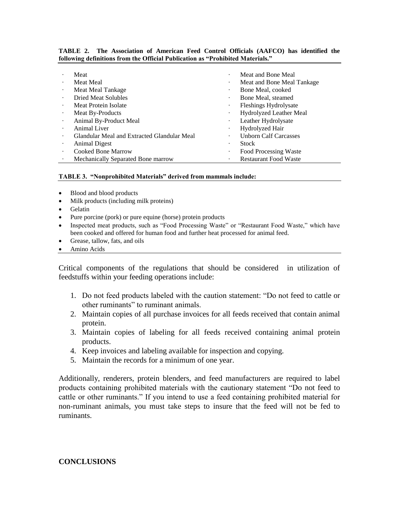| Meat                                        | $\bullet$ | Meat and Bone Meal           |
|---------------------------------------------|-----------|------------------------------|
| <b>Meat Meal</b>                            | ٠         | Meat and Bone Meal Tankage   |
| Meat Meal Tankage                           | $\cdot$   | Bone Meal, cooked            |
| Dried Meat Solubles                         | $\cdot$   | Bone Meal, steamed           |
| Meat Protein Isolate                        | $\bullet$ | <b>Fleshings Hydrolysate</b> |
| Meat By-Products                            | ٠         | Hydrolyzed Leather Meal      |
| Animal By-Product Meal                      | $\bullet$ | Leather Hydrolysate          |
| <b>Animal Liver</b>                         | $\bullet$ | Hydrolyzed Hair              |
| Glandular Meal and Extracted Glandular Meal | $\bullet$ | <b>Unborn Calf Carcasses</b> |
| Animal Digest                               | $\cdot$   | Stock                        |
| <b>Cooked Bone Marrow</b>                   | ٠         | Food Processing Waste        |
| Mechanically Separated Bone marrow          | ٠         | <b>Restaurant Food Waste</b> |

#### **TABLE 2. The Association of American Feed Control Officials (AAFCO) has identified the following definitions from the Official Publication as "Prohibited Materials."**

#### **TABLE 3. "Nonprohibited Materials" derived from mammals include:**

- Blood and blood products
- Milk products (including milk proteins)
- Gelatin
- Pure porcine (pork) or pure equine (horse) protein products
- Inspected meat products, such as "Food Processing Waste" or "Restaurant Food Waste," which have been cooked and offered for human food and further heat processed for animal feed.
- Grease, tallow, fats, and oils
- Amino Acids

Critical components of the regulations that should be considered in utilization of feedstuffs within your feeding operations include:

- 1. Do not feed products labeled with the caution statement: "Do not feed to cattle or other ruminants" to ruminant animals.
- 2. Maintain copies of all purchase invoices for all feeds received that contain animal protein.
- 3. Maintain copies of labeling for all feeds received containing animal protein products.
- 4. Keep invoices and labeling available for inspection and copying.
- 5. Maintain the records for a minimum of one year.

Additionally, renderers, protein blenders, and feed manufacturers are required to label products containing prohibited materials with the cautionary statement "Do not feed to cattle or other ruminants." If you intend to use a feed containing prohibited material for non-ruminant animals, you must take steps to insure that the feed will not be fed to ruminants.

#### **CONCLUSIONS**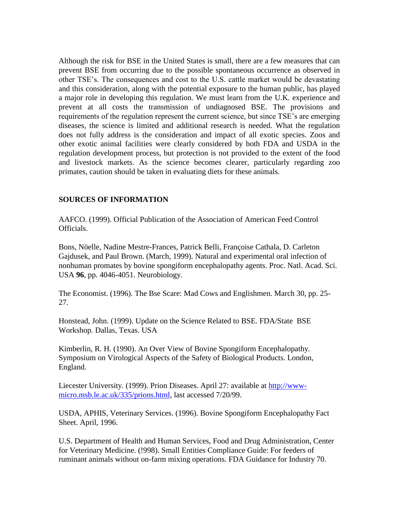Although the risk for BSE in the United States is small, there are a few measures that can prevent BSE from occurring due to the possible spontaneous occurrence as observed in other TSE's. The consequences and cost to the U.S. cattle market would be devastating and this consideration, along with the potential exposure to the human public, has played a major role in developing this regulation. We must learn from the U.K. experience and prevent at all costs the transmission of undiagnosed BSE. The provisions and requirements of the regulation represent the current science, but since TSE's are emerging diseases, the science is limited and additional research is needed. What the regulation does not fully address is the consideration and impact of all exotic species. Zoos and other exotic animal facilities were clearly considered by both FDA and USDA in the regulation development process, but protection is not provided to the extent of the food and livestock markets. As the science becomes clearer, particularly regarding zoo primates, caution should be taken in evaluating diets for these animals.

## **SOURCES OF INFORMATION**

AAFCO. (1999). Official Publication of the Association of American Feed Control Officials.

Bons, Nöelle, Nadine Mestre-Frances, Patrick Belli, Françoise Cathala, D. Carleton Gajdusek, and Paul Brown. (March, 1999). Natural and experimental oral infection of nonhuman promates by bovine spongiform encephalopathy agents. Proc. Natl. Acad. Sci. USA **96**, pp. 4046-4051. Neurobiology.

The Economist. (1996). The Bse Scare: Mad Cows and Englishmen. March 30, pp. 25- 27.

Honstead, John. (1999). Update on the Science Related to BSE. FDA/State BSE Workshop. Dallas, Texas. USA

Kimberlin, R. H. (1990). An Over View of Bovine Spongiform Encephalopathy. Symposium on Virological Aspects of the Safety of Biological Products. London, England.

Liecester University. (1999). Prion Diseases. April 27: available at http://wwwmicro.msb.le.ac.uk/335/prions.html, last accessed 7/20/99.

USDA, APHIS, Veterinary Services. (1996). Bovine Spongiform Encephalopathy Fact Sheet. April, 1996.

U.S. Department of Health and Human Services, Food and Drug Administration, Center for Veterinary Medicine. (!998). Small Entities Compliance Guide: For feeders of ruminant animals without on-farm mixing operations. FDA Guidance for Industry 70.